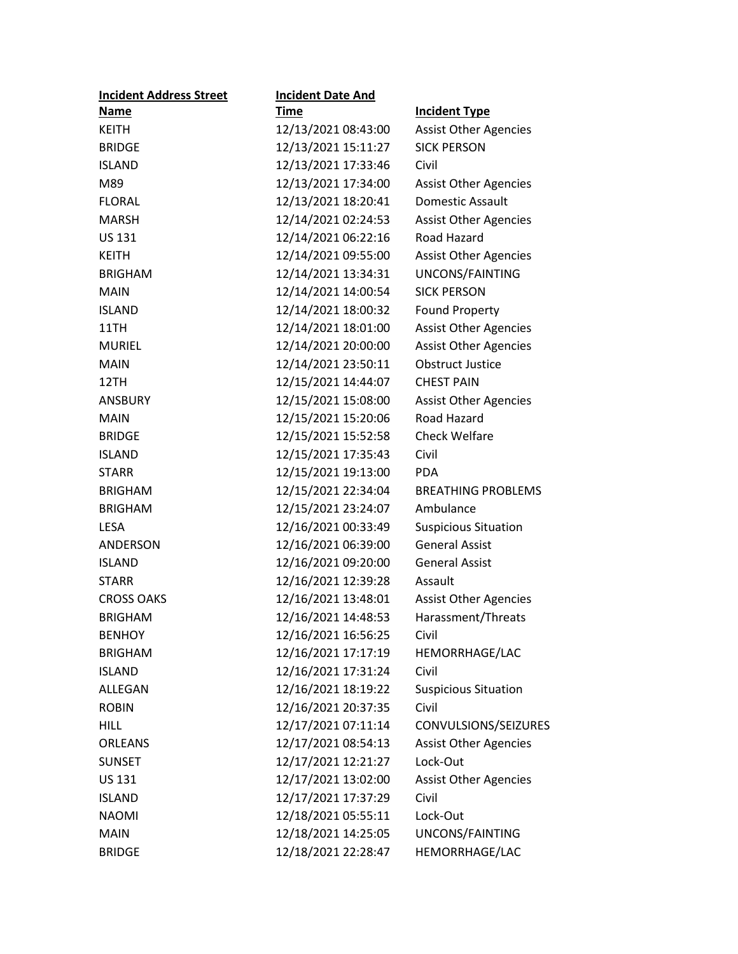| <b>Incident Address Street</b> | <b>Incident Date And</b> |                              |
|--------------------------------|--------------------------|------------------------------|
| <b>Name</b>                    | <b>Time</b>              | <b>Incident Type</b>         |
| <b>KEITH</b>                   | 12/13/2021 08:43:00      | <b>Assist Other Agencies</b> |
| <b>BRIDGE</b>                  | 12/13/2021 15:11:27      | <b>SICK PERSON</b>           |
| <b>ISLAND</b>                  | 12/13/2021 17:33:46      | Civil                        |
| M89                            | 12/13/2021 17:34:00      | <b>Assist Other Agencies</b> |
| <b>FLORAL</b>                  | 12/13/2021 18:20:41      | Domestic Assault             |
| <b>MARSH</b>                   | 12/14/2021 02:24:53      | <b>Assist Other Agencies</b> |
| <b>US 131</b>                  | 12/14/2021 06:22:16      | Road Hazard                  |
| <b>KEITH</b>                   | 12/14/2021 09:55:00      | <b>Assist Other Agencies</b> |
| <b>BRIGHAM</b>                 | 12/14/2021 13:34:31      | UNCONS/FAINTING              |
| <b>MAIN</b>                    | 12/14/2021 14:00:54      | <b>SICK PERSON</b>           |
| <b>ISLAND</b>                  | 12/14/2021 18:00:32      | <b>Found Property</b>        |
| 11TH                           | 12/14/2021 18:01:00      | <b>Assist Other Agencies</b> |
| <b>MURIEL</b>                  | 12/14/2021 20:00:00      | <b>Assist Other Agencies</b> |
| <b>MAIN</b>                    | 12/14/2021 23:50:11      | <b>Obstruct Justice</b>      |
| 12TH                           | 12/15/2021 14:44:07      | <b>CHEST PAIN</b>            |
| <b>ANSBURY</b>                 | 12/15/2021 15:08:00      | <b>Assist Other Agencies</b> |
| <b>MAIN</b>                    | 12/15/2021 15:20:06      | Road Hazard                  |
| <b>BRIDGE</b>                  | 12/15/2021 15:52:58      | <b>Check Welfare</b>         |
| <b>ISLAND</b>                  | 12/15/2021 17:35:43      | Civil                        |
| <b>STARR</b>                   | 12/15/2021 19:13:00      | <b>PDA</b>                   |
| <b>BRIGHAM</b>                 | 12/15/2021 22:34:04      | <b>BREATHING PROBLEMS</b>    |
| <b>BRIGHAM</b>                 | 12/15/2021 23:24:07      | Ambulance                    |
| <b>LESA</b>                    | 12/16/2021 00:33:49      | <b>Suspicious Situation</b>  |
| ANDERSON                       | 12/16/2021 06:39:00      | <b>General Assist</b>        |
| <b>ISLAND</b>                  | 12/16/2021 09:20:00      | <b>General Assist</b>        |
| <b>STARR</b>                   | 12/16/2021 12:39:28      | Assault                      |
| <b>CROSS OAKS</b>              | 12/16/2021 13:48:01      | <b>Assist Other Agencies</b> |
| <b>BRIGHAM</b>                 | 12/16/2021 14:48:53      | Harassment/Threats           |
| <b>BENHOY</b>                  | 12/16/2021 16:56:25      | Civil                        |
| <b>BRIGHAM</b>                 | 12/16/2021 17:17:19      | HEMORRHAGE/LAC               |
| <b>ISLAND</b>                  | 12/16/2021 17:31:24      | Civil                        |
| ALLEGAN                        | 12/16/2021 18:19:22      | <b>Suspicious Situation</b>  |
| <b>ROBIN</b>                   | 12/16/2021 20:37:35      | Civil                        |
| <b>HILL</b>                    | 12/17/2021 07:11:14      | CONVULSIONS/SEIZURES         |
| ORLEANS                        | 12/17/2021 08:54:13      | <b>Assist Other Agencies</b> |
| <b>SUNSET</b>                  | 12/17/2021 12:21:27      | Lock-Out                     |
| <b>US 131</b>                  | 12/17/2021 13:02:00      | <b>Assist Other Agencies</b> |
| <b>ISLAND</b>                  | 12/17/2021 17:37:29      | Civil                        |
| <b>NAOMI</b>                   | 12/18/2021 05:55:11      | Lock-Out                     |
| <b>MAIN</b>                    | 12/18/2021 14:25:05      | UNCONS/FAINTING              |
| <b>BRIDGE</b>                  | 12/18/2021 22:28:47      | HEMORRHAGE/LAC               |